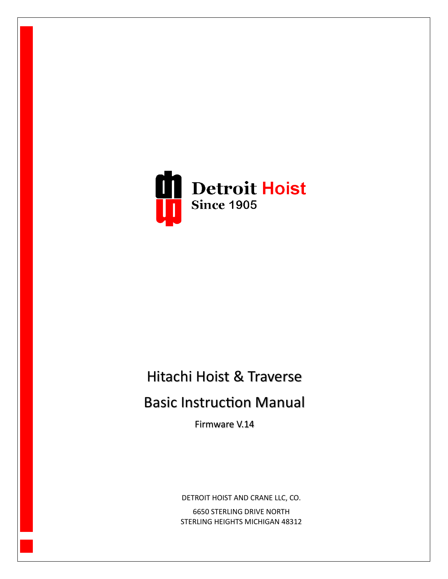

# Hitachi Hoist & Traverse

# **Basic Instruction Manual**

Firmware V.14

DETROIT HOIST AND CRANE LLC, CO. 6650 STERLING DRIVE NORTH

STERLING HEIGHTS MICHIGAN 48312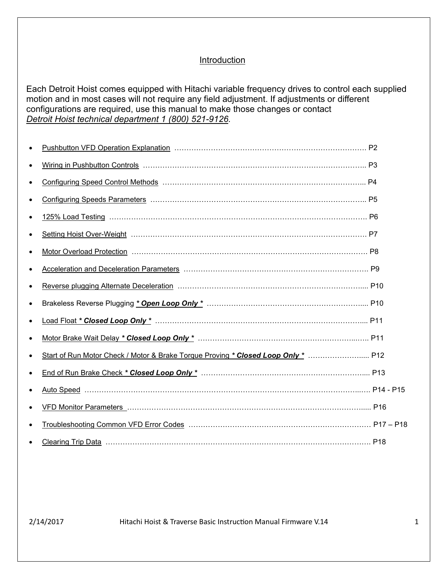#### **Introduction**

Each Detroit Hoist comes equipped with Hitachi variable frequency drives to control each supplied motion and in most cases will not require any field adjustment. If adjustments or different configurations are required, use this manual to make those changes or contact *Detroit Hoist technical department 1 (800) 521-9126.*

| $\bullet$ |                                                                                   |  |
|-----------|-----------------------------------------------------------------------------------|--|
|           |                                                                                   |  |
|           |                                                                                   |  |
|           | Start of Run Motor Check / Motor & Brake Torque Proving * Closed Loop Only *  P12 |  |
|           |                                                                                   |  |
|           |                                                                                   |  |
|           |                                                                                   |  |
|           |                                                                                   |  |
|           | Clearing Trip Data (Material According to the Clearing Trip Data (P18)            |  |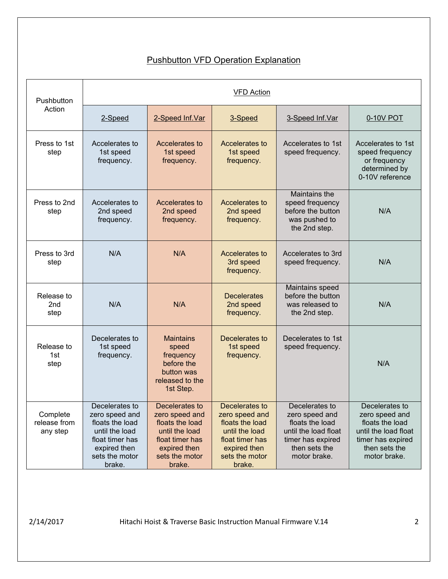# **Pushbutton VFD Operation Explanation**

| Pushbutton                            | <b>VFD Action</b>                                                                                                                    |                                                                                                                                      |                                                                                                                                      |                                                                                                                                   |                                                                                                                                   |
|---------------------------------------|--------------------------------------------------------------------------------------------------------------------------------------|--------------------------------------------------------------------------------------------------------------------------------------|--------------------------------------------------------------------------------------------------------------------------------------|-----------------------------------------------------------------------------------------------------------------------------------|-----------------------------------------------------------------------------------------------------------------------------------|
| Action                                | 2-Speed                                                                                                                              | 2-Speed Inf.Var                                                                                                                      | 3-Speed                                                                                                                              | 3-Speed Inf. Var                                                                                                                  | 0-10V POT                                                                                                                         |
| Press to 1st<br>step                  | Accelerates to<br>1st speed<br>frequency.                                                                                            | Accelerates to<br>1st speed<br>frequency.                                                                                            | Accelerates to<br>1st speed<br>frequency.                                                                                            | Accelerates to 1st<br>speed frequency.                                                                                            | Accelerates to 1st<br>speed frequency<br>or frequency<br>determined by<br>0-10V reference                                         |
| Press to 2nd<br>step                  | Accelerates to<br>2nd speed<br>frequency.                                                                                            | Accelerates to<br>2nd speed<br>frequency.                                                                                            | Accelerates to<br>2nd speed<br>frequency.                                                                                            | Maintains the<br>speed frequency<br>before the button<br>was pushed to<br>the 2nd step.                                           | N/A                                                                                                                               |
| Press to 3rd<br>step                  | N/A                                                                                                                                  | N/A                                                                                                                                  | Accelerates to<br>3rd speed<br>frequency.                                                                                            | Accelerates to 3rd<br>speed frequency.                                                                                            | N/A                                                                                                                               |
| Release to<br>2 <sub>nd</sub><br>step | N/A                                                                                                                                  | N/A                                                                                                                                  | <b>Decelerates</b><br>2nd speed<br>frequency.                                                                                        | Maintains speed<br>before the button<br>was released to<br>the 2nd step.                                                          | N/A                                                                                                                               |
| Release to<br>1st<br>step             | Decelerates to<br>1st speed<br>frequency.                                                                                            | <b>Maintains</b><br>speed<br>frequency<br>before the<br>button was<br>released to the<br>1st Step.                                   | Decelerates to<br>1st speed<br>frequency.                                                                                            | Decelerates to 1st<br>speed frequency.                                                                                            | N/A                                                                                                                               |
| Complete<br>release from<br>any step  | Decelerates to<br>zero speed and<br>floats the load<br>until the load<br>float timer has<br>expired then<br>sets the motor<br>brake. | Decelerates to<br>zero speed and<br>floats the load<br>until the load<br>float timer has<br>expired then<br>sets the motor<br>brake. | Decelerates to<br>zero speed and<br>floats the load<br>until the load<br>float timer has<br>expired then<br>sets the motor<br>brake. | Decelerates to<br>zero speed and<br>floats the load<br>until the load float<br>timer has expired<br>then sets the<br>motor brake. | Decelerates to<br>zero speed and<br>floats the load<br>until the load float<br>timer has expired<br>then sets the<br>motor brake. |

2/14/2017 Hitachi Hoist & Traverse Basic Instruction Manual Firmware V.14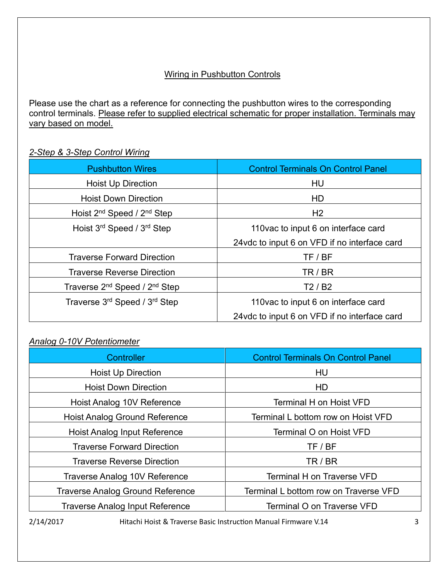# Wiring in Pushbutton Controls

Please use the chart as a reference for connecting the pushbutton wires to the corresponding control terminals. Please refer to supplied electrical schematic for proper installation. Terminals may vary based on model.

## *2-Step & 3-Step Control Wiring*

| <b>Pushbutton Wires</b>                               | <b>Control Terminals On Control Panel</b>     |
|-------------------------------------------------------|-----------------------------------------------|
| <b>Hoist Up Direction</b>                             | HU                                            |
| <b>Hoist Down Direction</b>                           | HD                                            |
| Hoist 2 <sup>nd</sup> Speed / 2 <sup>nd</sup> Step    | H2                                            |
| Hoist 3 <sup>rd</sup> Speed / 3 <sup>rd</sup> Step    | 110 vac to input 6 on interface card          |
|                                                       | 24 vdc to input 6 on VFD if no interface card |
| <b>Traverse Forward Direction</b>                     | TF / BF                                       |
| <b>Traverse Reverse Direction</b>                     | TR / BR                                       |
| Traverse 2 <sup>nd</sup> Speed / 2 <sup>nd</sup> Step | T2/B2                                         |
| Traverse 3rd Speed / 3rd Step                         | 110 vac to input 6 on interface card          |
|                                                       | 24 vdc to input 6 on VFD if no interface card |

## *Analog 0-10V Potentiometer*

| Controller                              | <b>Control Terminals On Control Panel</b> |
|-----------------------------------------|-------------------------------------------|
| <b>Hoist Up Direction</b>               | HU                                        |
| <b>Hoist Down Direction</b>             | HD.                                       |
| Hoist Analog 10V Reference              | <b>Terminal H on Hoist VFD</b>            |
| <b>Hoist Analog Ground Reference</b>    | Terminal L bottom row on Hoist VFD        |
| Hoist Analog Input Reference            | Terminal O on Hoist VFD                   |
| <b>Traverse Forward Direction</b>       | TF / BF                                   |
| <b>Traverse Reverse Direction</b>       | TR/BR                                     |
| Traverse Analog 10V Reference           | <b>Terminal H on Traverse VFD</b>         |
| <b>Traverse Analog Ground Reference</b> | Terminal L bottom row on Traverse VFD     |
| <b>Traverse Analog Input Reference</b>  | <b>Terminal O on Traverse VFD</b>         |

2/14/2017 Hitachi Hoist & Traverse Basic Instruction Manual Firmware V.14 3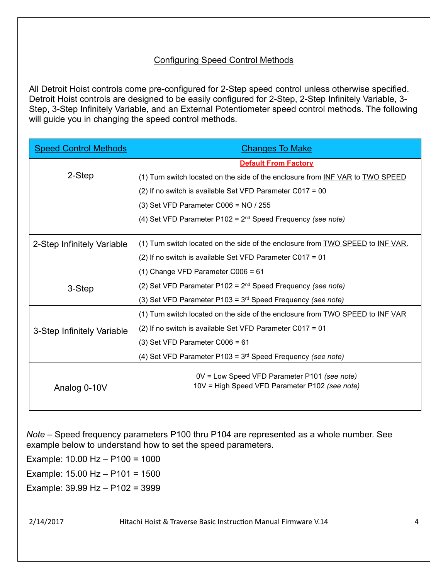## Configuring Speed Control Methods

All Detroit Hoist controls come pre-configured for 2-Step speed control unless otherwise specified. Detroit Hoist controls are designed to be easily configured for 2-Step, 2-Step Infinitely Variable, 3- Step, 3-Step Infinitely Variable, and an External Potentiometer speed control methods. The following will guide you in changing the speed control methods.

| <b>Speed Control Methods</b> | <u> Changes To Make</u>                                                                        |  |
|------------------------------|------------------------------------------------------------------------------------------------|--|
|                              | <b>Default From Factory</b>                                                                    |  |
| 2-Step                       | (1) Turn switch located on the side of the enclosure from INF VAR to TWO SPEED                 |  |
|                              | (2) If no switch is available Set VFD Parameter C017 = 00                                      |  |
|                              | $(3)$ Set VFD Parameter C006 = NO / 255                                                        |  |
|                              | (4) Set VFD Parameter P102 = $2^{nd}$ Speed Frequency (see note)                               |  |
| 2-Step Infinitely Variable   | (1) Turn switch located on the side of the enclosure from TWO SPEED to INF VAR.                |  |
|                              | (2) If no switch is available Set VFD Parameter C017 = 01                                      |  |
|                              | $(1)$ Change VFD Parameter C006 = 61                                                           |  |
| 3-Step                       | (2) Set VFD Parameter P102 = $2^{nd}$ Speed Frequency (see note)                               |  |
|                              | (3) Set VFD Parameter P103 = $3rd$ Speed Frequency (see note)                                  |  |
|                              | (1) Turn switch located on the side of the enclosure from TWO SPEED to INF VAR                 |  |
| 3-Step Infinitely Variable   | (2) If no switch is available Set VFD Parameter C017 = 01                                      |  |
|                              | $(3)$ Set VFD Parameter C006 = 61                                                              |  |
|                              | (4) Set VFD Parameter P103 = $3rd$ Speed Frequency (see note)                                  |  |
| Analog 0-10V                 | 0V = Low Speed VFD Parameter P101 (see note)<br>10V = High Speed VFD Parameter P102 (see note) |  |

*Note* – Speed frequency parameters P100 thru P104 are represented as a whole number. See example below to understand how to set the speed parameters.

Example: 10.00 Hz – P100 = 1000

Example: 15.00 Hz – P101 = 1500

Example: 39.99 Hz – P102 = 3999

2/14/2017 Hitachi Hoist & Traverse Basic Instruction Manual Firmware V.14 4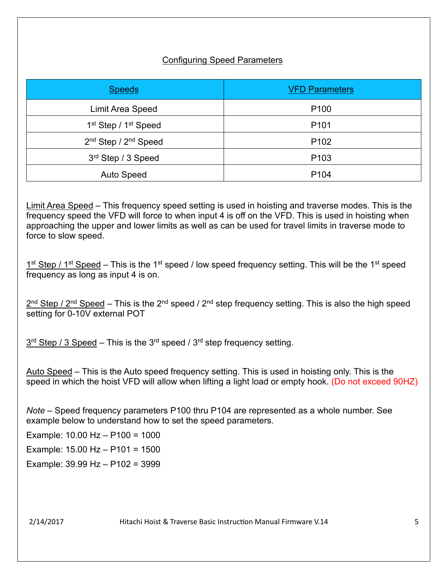## Configuring Speed Parameters

| <b>Speeds</b>                                | <b>VFD Parameters</b> |
|----------------------------------------------|-----------------------|
| Limit Area Speed                             | P <sub>100</sub>      |
| 1 <sup>st</sup> Step / 1 <sup>st</sup> Speed | P <sub>101</sub>      |
| 2 <sup>nd</sup> Step / 2 <sup>nd</sup> Speed | P <sub>102</sub>      |
| 3rd Step / 3 Speed                           | P <sub>103</sub>      |
| <b>Auto Speed</b>                            | P <sub>104</sub>      |

Limit Area Speed – This frequency speed setting is used in hoisting and traverse modes. This is the frequency speed the VFD will force to when input 4 is off on the VFD. This is used in hoisting when approaching the upper and lower limits as well as can be used for travel limits in traverse mode to force to slow speed.

 $1<sup>st</sup>$  Step / 1<sup>st</sup> Speed – This is the 1<sup>st</sup> speed / low speed frequency setting. This will be the 1<sup>st</sup> speed frequency as long as input 4 is on.

 $2^{nd}$  Step /  $2^{nd}$  Speed – This is the  $2^{nd}$  speed /  $2^{nd}$  step frequency setting. This is also the high speed setting for 0-10V external POT

 $3<sup>rd</sup>$  Step / 3 Speed – This is the  $3<sup>rd</sup>$  speed /  $3<sup>rd</sup>$  step frequency setting.

Auto Speed – This is the Auto speed frequency setting. This is used in hoisting only. This is the speed in which the hoist VFD will allow when lifting a light load or empty hook. (Do not exceed 90HZ)

*Note* – Speed frequency parameters P100 thru P104 are represented as a whole number. See example below to understand how to set the speed parameters.

Example: 10.00 Hz – P100 = 1000

Example: 15.00 Hz – P101 = 1500

Example: 39.99 Hz – P102 = 3999

2/14/2017 Hitachi Hoist & Traverse Basic Instruc�on Manual Firmware V.14 5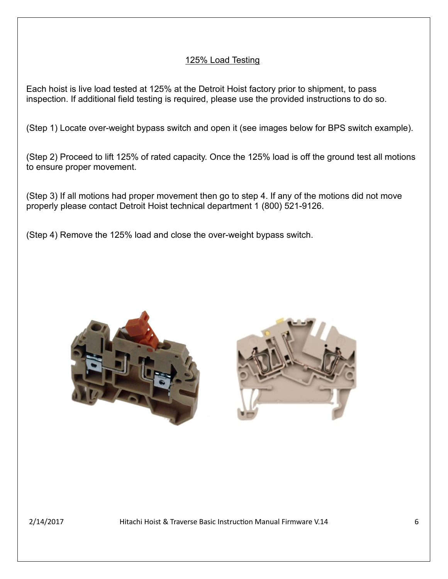## 125% Load Testing

Each hoist is live load tested at 125% at the Detroit Hoist factory prior to shipment, to pass inspection. If additional field testing is required, please use the provided instructions to do so.

(Step 1) Locate over-weight bypass switch and open it (see images below for BPS switch example).

(Step 2) Proceed to lift 125% of rated capacity. Once the 125% load is off the ground test all motions to ensure proper movement.

(Step 3) If all motions had proper movement then go to step 4. If any of the motions did not move properly please contact Detroit Hoist technical department 1 (800) 521-9126.

(Step 4) Remove the 125% load and close the over-weight bypass switch.





2/14/2017 Hitachi Hoist & Traverse Basic Instruction Manual Firmware V.14  $\,$  6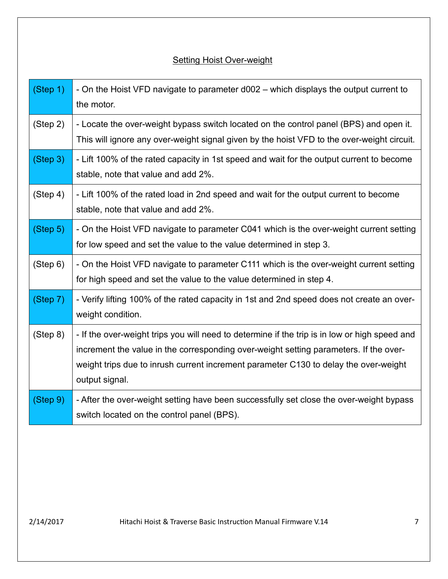# **Setting Hoist Over-weight**

| (Step 1) | - On the Hoist VFD navigate to parameter d002 – which displays the output current to<br>the motor.                                                                                                                                                                                               |
|----------|--------------------------------------------------------------------------------------------------------------------------------------------------------------------------------------------------------------------------------------------------------------------------------------------------|
| (Step 2) | - Locate the over-weight bypass switch located on the control panel (BPS) and open it.<br>This will ignore any over-weight signal given by the hoist VFD to the over-weight circuit.                                                                                                             |
| (Step 3) | - Lift 100% of the rated capacity in 1st speed and wait for the output current to become<br>stable, note that value and add 2%.                                                                                                                                                                  |
| (Step 4) | - Lift 100% of the rated load in 2nd speed and wait for the output current to become<br>stable, note that value and add 2%.                                                                                                                                                                      |
| (Step 5) | - On the Hoist VFD navigate to parameter C041 which is the over-weight current setting<br>for low speed and set the value to the value determined in step 3.                                                                                                                                     |
| (Step 6) | - On the Hoist VFD navigate to parameter C111 which is the over-weight current setting<br>for high speed and set the value to the value determined in step 4.                                                                                                                                    |
| (Step 7) | - Verify lifting 100% of the rated capacity in 1st and 2nd speed does not create an over-<br>weight condition.                                                                                                                                                                                   |
| (Step 8) | - If the over-weight trips you will need to determine if the trip is in low or high speed and<br>increment the value in the corresponding over-weight setting parameters. If the over-<br>weight trips due to inrush current increment parameter C130 to delay the over-weight<br>output signal. |
| (Step 9) | - After the over-weight setting have been successfully set close the over-weight bypass<br>switch located on the control panel (BPS).                                                                                                                                                            |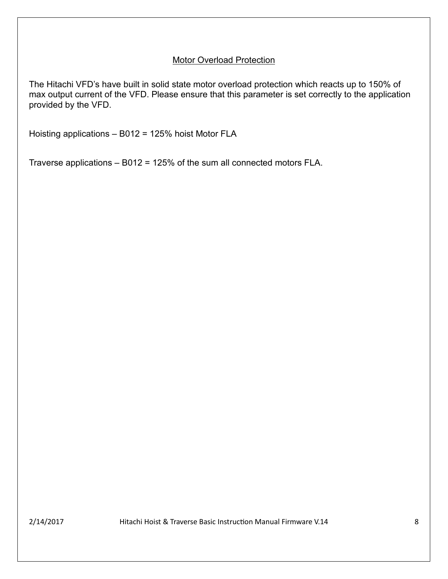#### Motor Overload Protection

The Hitachi VFD's have built in solid state motor overload protection which reacts up to 150% of max output current of the VFD. Please ensure that this parameter is set correctly to the application provided by the VFD.

Hoisting applications – B012 = 125% hoist Motor FLA

Traverse applications – B012 = 125% of the sum all connected motors FLA.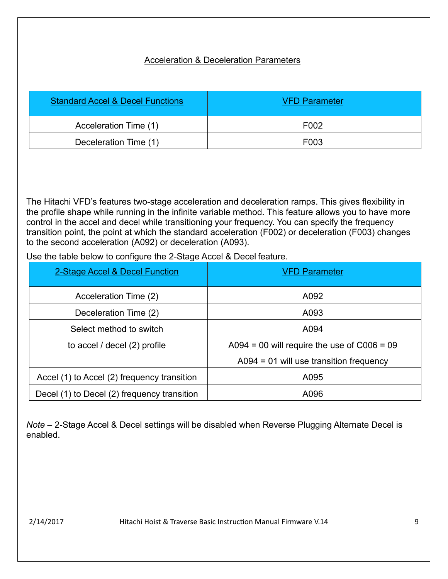# Acceleration & Deceleration Parameters

| <b>Standard Accel &amp; Decel Functions</b> | <b>VFD Parameter</b> |
|---------------------------------------------|----------------------|
| Acceleration Time (1)                       | F002                 |
| Deceleration Time (1)                       | F003                 |

The Hitachi VFD's features two-stage acceleration and deceleration ramps. This gives flexibility in the profile shape while running in the infinite variable method. This feature allows you to have more control in the accel and decel while transitioning your frequency. You can specify the frequency transition point, the point at which the standard acceleration (F002) or deceleration (F003) changes to the second acceleration (A092) or deceleration (A093).

Use the table below to configure the 2-Stage Accel & Decel feature.

| 2-Stage Accel & Decel Function              | <b>VFD Parameter</b>                          |
|---------------------------------------------|-----------------------------------------------|
| Acceleration Time (2)                       | A092                                          |
| Deceleration Time (2)                       | A093                                          |
| Select method to switch                     | A094                                          |
| to accel / decel (2) profile                | A094 = 00 will require the use of $C006 = 09$ |
|                                             | $A094 = 01$ will use transition frequency     |
| Accel (1) to Accel (2) frequency transition | A095                                          |
| Decel (1) to Decel (2) frequency transition | A096                                          |

*Note* – 2-Stage Accel & Decel settings will be disabled when Reverse Plugging Alternate Decel is enabled.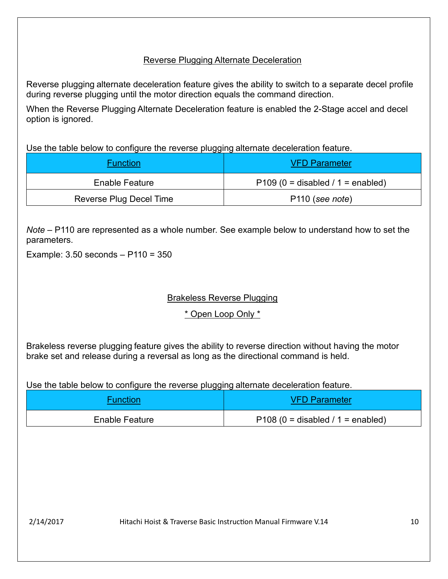## Reverse Plugging Alternate Deceleration

Reverse plugging alternate deceleration feature gives the ability to switch to a separate decel profile during reverse plugging until the motor direction equals the command direction.

When the Reverse Plugging Alternate Deceleration feature is enabled the 2-Stage accel and decel option is ignored.

Use the table below to configure the reverse plugging alternate deceleration feature.

| <b>Function</b>         | <b>VFD Parameter</b>                |
|-------------------------|-------------------------------------|
| Enable Feature          | $P109$ (0 = disabled / 1 = enabled) |
| Reverse Plug Decel Time | P <sub>110</sub> (see note)         |

*Note* – P110 are represented as a whole number. See example below to understand how to set the parameters.

Example: 3.50 seconds – P110 = 350

# Brakeless Reverse Plugging

\* Open Loop Only \*

Brakeless reverse plugging feature gives the ability to reverse direction without having the motor brake set and release during a reversal as long as the directional command is held.

Use the table below to configure the reverse plugging alternate deceleration feature.

| <b>Function</b>       | <b>VFD Parameter</b>                 |
|-----------------------|--------------------------------------|
| <b>Enable Feature</b> | $P108 (0 = disabeled / 1 = enabled)$ |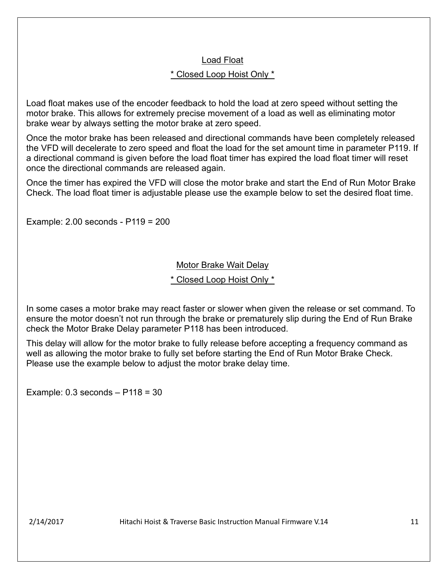#### Load Float

#### \* Closed Loop Hoist Only \*

Load float makes use of the encoder feedback to hold the load at zero speed without setting the motor brake. This allows for extremely precise movement of a load as well as eliminating motor brake wear by always setting the motor brake at zero speed.

Once the motor brake has been released and directional commands have been completely released the VFD will decelerate to zero speed and float the load for the set amount time in parameter P119. If a directional command is given before the load float timer has expired the load float timer will reset once the directional commands are released again.

Once the timer has expired the VFD will close the motor brake and start the End of Run Motor Brake Check. The load float timer is adjustable please use the example below to set the desired float time.

Example: 2.00 seconds - P119 = 200

#### Motor Brake Wait Delay

#### \* Closed Loop Hoist Only \*

In some cases a motor brake may react faster or slower when given the release or set command. To ensure the motor doesn't not run through the brake or prematurely slip during the End of Run Brake check the Motor Brake Delay parameter P118 has been introduced.

This delay will allow for the motor brake to fully release before accepting a frequency command as well as allowing the motor brake to fully set before starting the End of Run Motor Brake Check. Please use the example below to adjust the motor brake delay time.

Example: 0.3 seconds – P118 = 30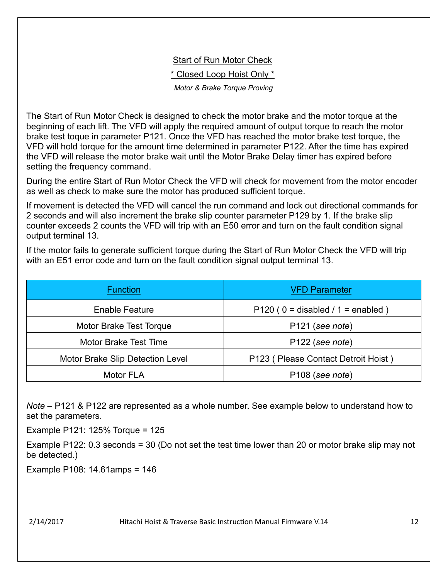## **Start of Run Motor Check**

\* Closed Loop Hoist Only \*

*Motor & Brake Torque Proving*

The Start of Run Motor Check is designed to check the motor brake and the motor torque at the beginning of each lift. The VFD will apply the required amount of output torque to reach the motor brake test toque in parameter P121. Once the VFD has reached the motor brake test torque, the VFD will hold torque for the amount time determined in parameter P122. After the time has expired the VFD will release the motor brake wait until the Motor Brake Delay timer has expired before setting the frequency command.

During the entire Start of Run Motor Check the VFD will check for movement from the motor encoder as well as check to make sure the motor has produced sufficient torque.

If movement is detected the VFD will cancel the run command and lock out directional commands for 2 seconds and will also increment the brake slip counter parameter P129 by 1. If the brake slip counter exceeds 2 counts the VFD will trip with an E50 error and turn on the fault condition signal output terminal 13.

If the motor fails to generate sufficient torque during the Start of Run Motor Check the VFD will trip with an E51 error code and turn on the fault condition signal output terminal 13.

| <b>Function</b>                  | <b>VFD Parameter</b>                 |
|----------------------------------|--------------------------------------|
| Enable Feature                   | P120 ( $0 =$ disabled / 1 = enabled) |
| Motor Brake Test Torque          | P <sub>121</sub> (see note)          |
| <b>Motor Brake Test Time</b>     | P <sub>122</sub> (see note)          |
| Motor Brake Slip Detection Level | P123 (Please Contact Detroit Hoist)  |
| Motor FLA                        | P <sub>108</sub> (see note)          |

*Note* – P121 & P122 are represented as a whole number. See example below to understand how to set the parameters.

Example P121: 125% Torque = 125

Example P122: 0.3 seconds = 30 (Do not set the test time lower than 20 or motor brake slip may not be detected.)

Example P108: 14.61amps = 146

2/14/2017 Hitachi Hoist & Traverse Basic Instruc�on Manual Firmware V.14 12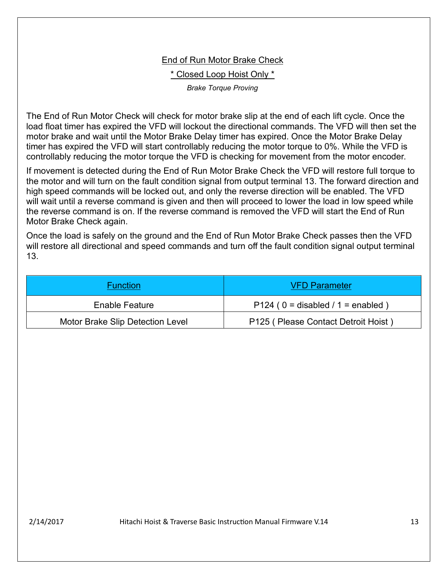#### End of Run Motor Brake Check

\* Closed Loop Hoist Only \*

*Brake Torque Proving*

The End of Run Motor Check will check for motor brake slip at the end of each lift cycle. Once the load float timer has expired the VFD will lockout the directional commands. The VFD will then set the motor brake and wait until the Motor Brake Delay timer has expired. Once the Motor Brake Delay timer has expired the VFD will start controllably reducing the motor torque to 0%. While the VFD is controllably reducing the motor torque the VFD is checking for movement from the motor encoder.

If movement is detected during the End of Run Motor Brake Check the VFD will restore full torque to the motor and will turn on the fault condition signal from output terminal 13. The forward direction and high speed commands will be locked out, and only the reverse direction will be enabled. The VFD will wait until a reverse command is given and then will proceed to lower the load in low speed while the reverse command is on. If the reverse command is removed the VFD will start the End of Run Motor Brake Check again.

Once the load is safely on the ground and the End of Run Motor Brake Check passes then the VFD will restore all directional and speed commands and turn off the fault condition signal output terminal 13.

| Function                         | <b>VFD Parameter</b>                 |
|----------------------------------|--------------------------------------|
| Enable Feature                   | P124 ( $0 =$ disabled / 1 = enabled) |
| Motor Brake Slip Detection Level | P125 (Please Contact Detroit Hoist)  |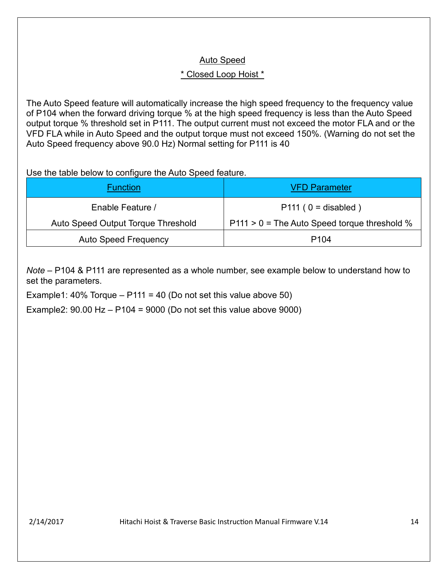## Auto Speed

# \* Closed Loop Hoist \*

The Auto Speed feature will automatically increase the high speed frequency to the frequency value of P104 when the forward driving torque % at the high speed frequency is less than the Auto Speed output torque % threshold set in P111. The output current must not exceed the motor FLA and or the VFD FLA while in Auto Speed and the output torque must not exceed 150%. (Warning do not set the Auto Speed frequency above 90.0 Hz) Normal setting for P111 is 40

Use the table below to configure the Auto Speed feature.

| <b>Function</b>                    | <b>VFD Parameter</b>                           |
|------------------------------------|------------------------------------------------|
| Enable Feature /                   | $P111 (0 = disabled)$                          |
| Auto Speed Output Torque Threshold | $P111 > 0$ = The Auto Speed torque threshold % |
| <b>Auto Speed Frequency</b>        | P <sub>104</sub>                               |

*Note* – P104 & P111 are represented as a whole number, see example below to understand how to set the parameters.

Example1:  $40\%$  Torque – P111 =  $40$  (Do not set this value above 50)

Example2:  $90.00$  Hz  $-$  P104 =  $9000$  (Do not set this value above  $9000$ )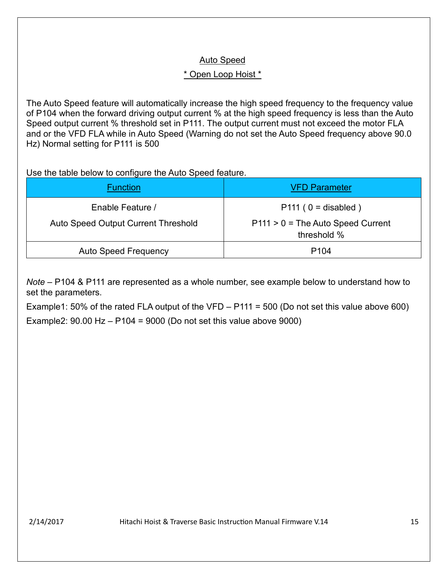# Auto Speed

# \* Open Loop Hoist \*

The Auto Speed feature will automatically increase the high speed frequency to the frequency value of P104 when the forward driving output current % at the high speed frequency is less than the Auto Speed output current % threshold set in P111. The output current must not exceed the motor FLA and or the VFD FLA while in Auto Speed (Warning do not set the Auto Speed frequency above 90.0 Hz) Normal setting for P111 is 500

Use the table below to configure the Auto Speed feature.

| <b>Function</b>                     | <b>VFD Parameter</b>                               |
|-------------------------------------|----------------------------------------------------|
| Enable Feature /                    | $P111 (0 = disabled)$                              |
| Auto Speed Output Current Threshold | $P111 > 0$ = The Auto Speed Current<br>threshold % |
| <b>Auto Speed Frequency</b>         | P <sub>104</sub>                                   |

*Note* – P104 & P111 are represented as a whole number, see example below to understand how to set the parameters.

Example1: 50% of the rated FLA output of the VFD – P111 = 500 (Do not set this value above 600) Example2:  $90.00$  Hz  $-$  P104 =  $9000$  (Do not set this value above  $9000$ )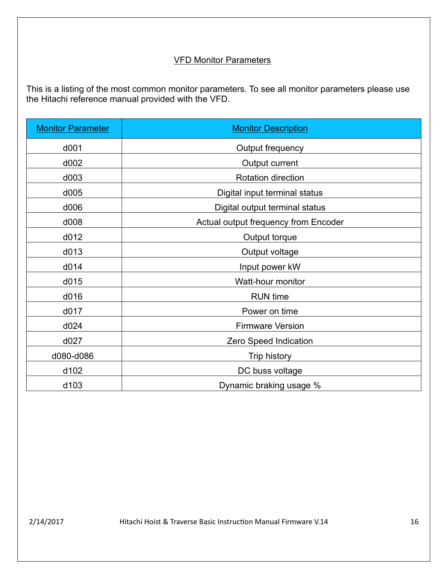## VFD Monitor Parameters

This is a listing of the most common monitor parameters. To see all monitor parameters please use the Hitachi reference manual provided with the VFD.

| <b>Monitor Parameter</b> | <b>Monitor Description</b>           |
|--------------------------|--------------------------------------|
| d001                     | Output frequency                     |
| d002                     | Output current                       |
| d003                     | <b>Rotation direction</b>            |
| d005                     | Digital input terminal status        |
| d006                     | Digital output terminal status       |
| d008                     | Actual output frequency from Encoder |
| d012                     | Output torque                        |
| d013                     | Output voltage                       |
| d014                     | Input power kW                       |
| d015                     | Watt-hour monitor                    |
| d016                     | <b>RUN</b> time                      |
| d017                     | Power on time                        |
| d024                     | <b>Firmware Version</b>              |
| d027                     | Zero Speed Indication                |
| d080-d086                | <b>Trip history</b>                  |
| d102                     | DC buss voltage                      |
| d <sub>103</sub>         | Dynamic braking usage %              |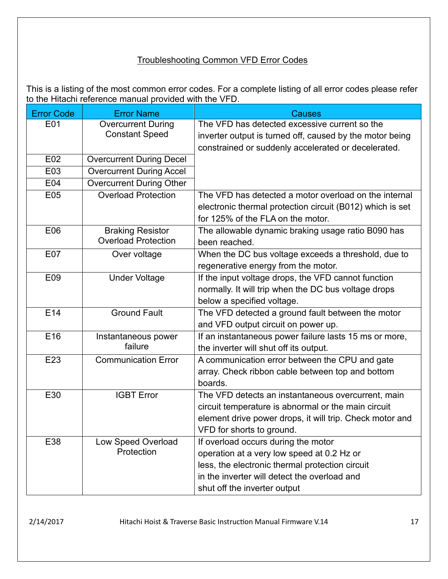## Troubleshooting Common VFD Error Codes

This is a listing of the most common error codes. For a complete listing of all error codes please refer to the Hitachi reference manual provided with the VFD.

| <b>Error Code</b> | <b>Error Name</b>                       | <b>Causes</b>                                                                                   |
|-------------------|-----------------------------------------|-------------------------------------------------------------------------------------------------|
| E01               | <b>Overcurrent During</b>               | The VFD has detected excessive current so the                                                   |
|                   | <b>Constant Speed</b>                   | inverter output is turned off, caused by the motor being                                        |
|                   |                                         | constrained or suddenly accelerated or decelerated.                                             |
| E02               | <b>Overcurrent During Decel</b>         |                                                                                                 |
| E03               | <b>Overcurrent During Accel</b>         |                                                                                                 |
| E04               | <b>Overcurrent During Other</b>         |                                                                                                 |
| E05               | <b>Overload Protection</b>              | The VFD has detected a motor overload on the internal                                           |
|                   |                                         | electronic thermal protection circuit (B012) which is set                                       |
|                   |                                         | for 125% of the FLA on the motor.                                                               |
| E06               | <b>Braking Resistor</b>                 | The allowable dynamic braking usage ratio B090 has                                              |
|                   | <b>Overload Protection</b>              | been reached.                                                                                   |
| E07               | Over voltage                            | When the DC bus voltage exceeds a threshold, due to                                             |
|                   |                                         | regenerative energy from the motor.                                                             |
| E09               | <b>Under Voltage</b>                    | If the input voltage drops, the VFD cannot function                                             |
|                   |                                         | normally. It will trip when the DC bus voltage drops                                            |
|                   |                                         | below a specified voltage.                                                                      |
| E14               | <b>Ground Fault</b>                     | The VFD detected a ground fault between the motor                                               |
|                   |                                         | and VFD output circuit on power up.                                                             |
| E16               | Instantaneous power<br>failure          | If an instantaneous power failure lasts 15 ms or more,                                          |
|                   |                                         | the inverter will shut off its output.                                                          |
| E23               | <b>Communication Error</b>              | A communication error between the CPU and gate                                                  |
|                   |                                         | array. Check ribbon cable between top and bottom                                                |
|                   |                                         | boards.                                                                                         |
| E30               | <b>IGBT Error</b>                       | The VFD detects an instantaneous overcurrent, main                                              |
|                   |                                         | circuit temperature is abnormal or the main circuit                                             |
|                   |                                         | element drive power drops, it will trip. Check motor and                                        |
|                   |                                         | VFD for shorts to ground.                                                                       |
| E38               | <b>Low Speed Overload</b><br>Protection | If overload occurs during the motor                                                             |
|                   |                                         | operation at a very low speed at 0.2 Hz or                                                      |
|                   |                                         | less, the electronic thermal protection circuit<br>in the inverter will detect the overload and |
|                   |                                         |                                                                                                 |
|                   |                                         | shut off the inverter output                                                                    |

2/14/2017 Hitachi Hoist & Traverse Basic Instruction Manual Firmware V.14 17